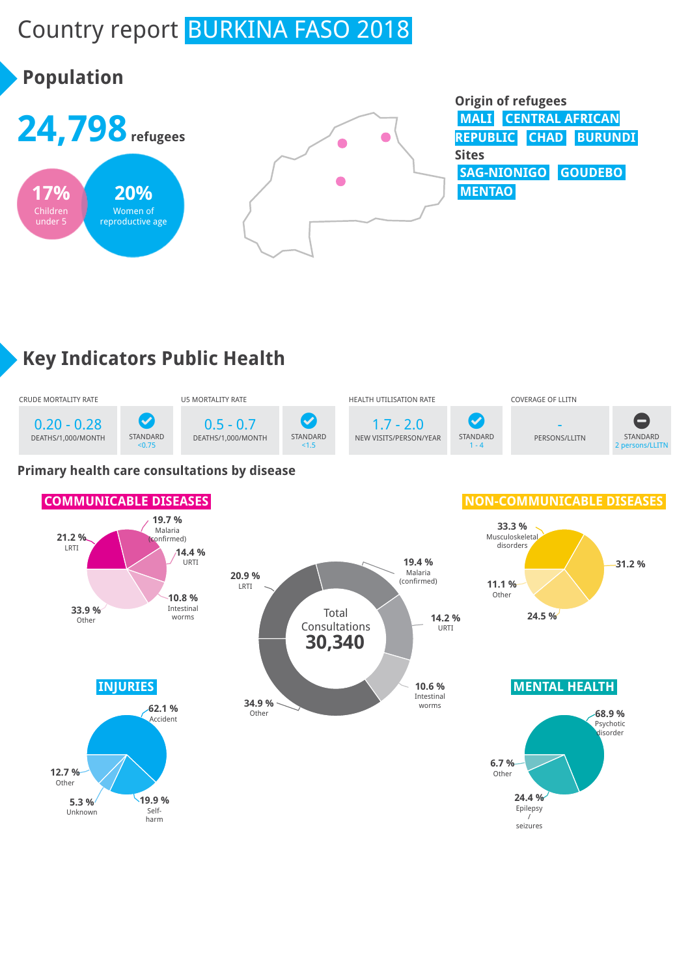# Country report BURKINA FASO 2018



# **Key Indicators Public Health**



#### **Primary health care consultations by disease**

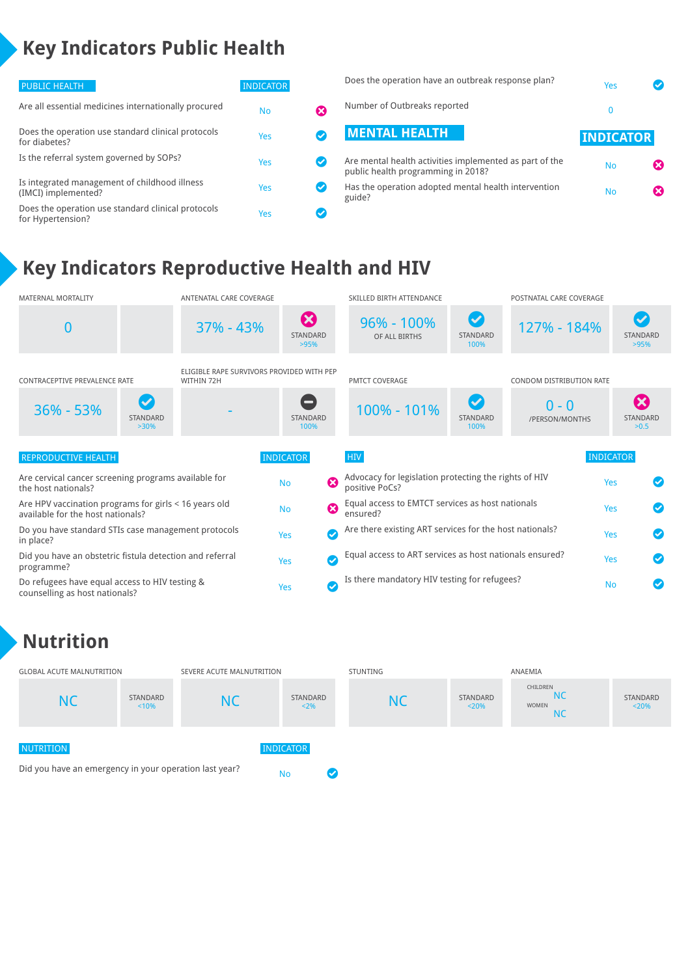# **Key Indicators Public Health**

| PUBLIC HEALTH                                                           | <b>INDICATOR</b> |                         | Does the operation have an outbreak response plan?                                            | Yes              |                       |
|-------------------------------------------------------------------------|------------------|-------------------------|-----------------------------------------------------------------------------------------------|------------------|-----------------------|
| Are all essential medicines internationally procured                    | <b>No</b>        | ೞ                       | Number of Outbreaks reported                                                                  |                  |                       |
| Does the operation use standard clinical protocols<br>for diabetes?     | Yes              |                         | <b>MENTAL HEALTH</b>                                                                          | <b>INDICATOR</b> |                       |
| Is the referral system governed by SOPs?                                | Yes              | $\sim$                  | Are mental health activities implemented as part of the<br>public health programming in 2018? | <b>No</b>        | $\boldsymbol{\omega}$ |
| Is integrated management of childhood illness<br>(IMCI) implemented?    | Yes              | ✓                       | Has the operation adopted mental health intervention<br>guide?                                | <b>No</b>        | $\boldsymbol{\omega}$ |
| Does the operation use standard clinical protocols<br>for Hypertension? | Yes              | $\overline{\mathsf{v}}$ |                                                                                               |                  |                       |

## **Key Indicators Reproductive Health and HIV**



## **Nutrition**